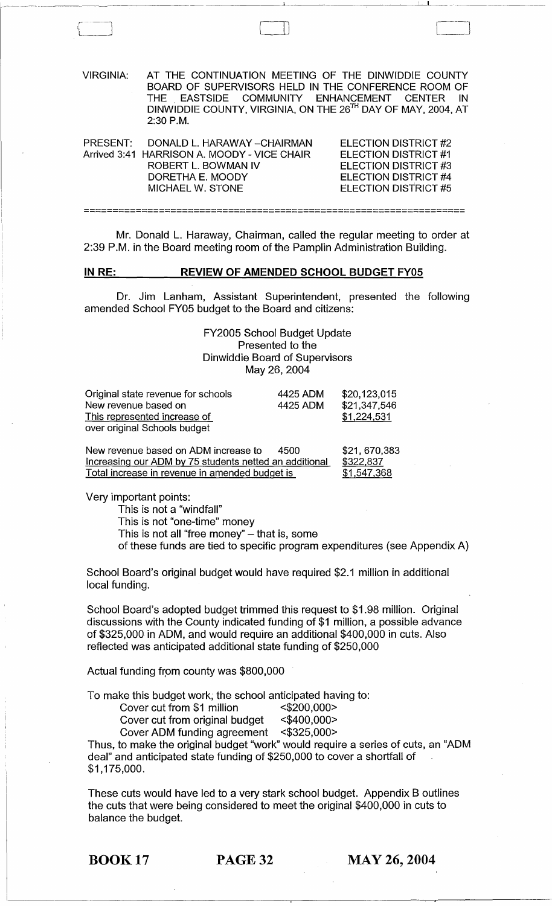| VIRGINIA: | AT THE CONTINUATION MEETING OF THE DINWIDDIE COUNTY<br>BOARD OF SUPERVISORS HELD IN THE CONFERENCE ROOM OF<br>THE EASTSIDE COMMUNITY ENHANCEMENT CENTER IN<br>DINWIDDIE COUNTY, VIRGINIA, ON THE 26TH DAY OF MAY, 2004, AT<br>$2:30$ P.M. |                                                                                                     |
|-----------|-------------------------------------------------------------------------------------------------------------------------------------------------------------------------------------------------------------------------------------------|-----------------------------------------------------------------------------------------------------|
| PRESENT:  | DONALD L. HARAWAY - CHAIRMAN<br>Arrived 3:41 HARRISON A. MOODY - VICE CHAIR<br>ROBERT L. BOWMAN IV<br>DORETHA E. MOODY                                                                                                                    | <b>ELECTION DISTRICT #2</b><br>ELECTION DISTRICT #1<br>ELECTION DISTRICT #3<br>ELECTION DISTRICT #4 |

 $\mathbf U$ 

Mr. Donald L. Haraway, Chairman, called the regular meeting to order at 2:39 P.M. in the Board meeting room of the Pamplin Administration Building.

**==================================================================** 

ELECTION DISTRICT #5

## **IN RE: REVIEW OF AMENDED SCHOOL BUDGET FY05**

MICHAEL W. STONE

Dr. Jim Lanham, Assistant Superintendent, presented the following amended School FY05 budget to the Board and citizens:

> FY2005 School Budget Update Presented to the Dinwiddie Board of Supervisors May 26,2004

| Original state revenue for schools | 4425 ADM | \$20,123,015 |
|------------------------------------|----------|--------------|
| New revenue based on               | 4425 ADM | \$21,347,546 |
| This represented increase of       |          | \$1,224,531  |
| over original Schools budget       |          |              |

| New revenue based on ADM increase to<br>4500           | \$21,670,383 |
|--------------------------------------------------------|--------------|
| Increasing our ADM by 75 students netted an additional | \$322,837    |
| Total increase in revenue in amended budget is         | \$1,547,368  |

Very important points:

This is not a "windfall" This is not "one-time" money This is not all "free money"  $-$  that is, some of these funds are tied to specific program expenditures (see Appendix A)

School Board's original budget would have required \$2.1 million in additional local funding.

School Board's adopted budget trimmed this request to \$1.98 million. Original discussions with the County indicated funding of \$1 million, a possible advance of \$325,000 in ADM, and would require an additional \$400,000 in cuts. Also reflected was anticipated additional state funding of \$250,000

Actual funding from county was \$800,000

To make this budget work; the school anticipated having to:

Cover cut from \$1 million <\$200,000>

Cover cut from original budget <\$400,000>

Cover ADM funding agreement <\$325,000>

Thus, to make the original budget "work" would require a series of cuts, an "ADM deal" and anticipated state funding of \$250,000 to cover a shortfall of \$1,175,000.

These cuts would have led to a very stark school budget. Appendix B outlines the cuts that were being considered to meet the original \$400,000 in cuts to balance the budget.

BOOK 17 PAGE 32 MAY 26, 2004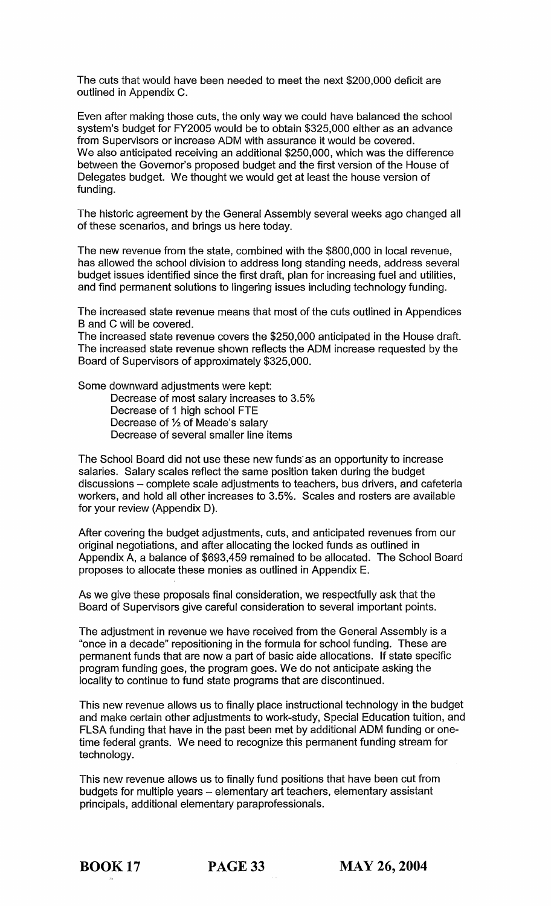The cuts that would have been needed to meet the next \$200,000 deficit are outlined in Appendix C.

Even after making those cuts, the only way we could have balanced the school system's budget for FY2005 would be to obtain \$325,000 either as an advance from Supervisors or increase ADM with assurance it would be covered. We also anticipated receiving an additional \$250,000, which was the difference between the Governor's proposed budget and the first version of the House of Delegates budget. We thought we would get at least the house version of funding.

The historic agreement by the General Assembly several weeks ago changed all of these scenarios, and brings us here today.

The new revenue from the state, combined with the \$800,000 in local revenue, has allowed the school division to address long standing needs, address several budget issues identified since the first draft, plan for increasing fuel and utilities, and find permanent solutions to lingering issues including technology funding.

The increased state revenue means that most of the cuts outlined in Appendices Band C will be covered.

The increased state revenue covers the \$250,000 anticipated in the House draft. The increased state revenue shown reflects the ADM increase requested by the Board of Supervisors of approximately \$325,000.

Some downward adjustments were kept:

Decrease of most salary increases to 3.5% Decrease of 1 high school FTE Decrease of % of Meade's salary Decrease of several smaller line items

The School Board did not use these new funds· as an opportunity to increase salaries. Salary scales reflect the same position taken during the budget discussions - complete scale adjustments to teachers, bus drivers, and cafeteria workers, and hold all other increases to 3.5%. Scales and rosters are available for your review (Appendix D).

After covering the budget adjustments, cuts, and anticipated revenues from our original negotiations, and after allocating the locked funds as outlined in Appendix A, a balance of \$693,459 remained to be allocated. The School Board proposes to allocate these monies as outlined in Appendix E.

As we give these proposals final consideration, we respectfully ask that the Board of Supervisors give careful consideration to several important points.

The adjustment in revenue we have received from the General Assembly is a "once in a decade" repositioning in the formula for school funding. These are permanent funds that are now a part of basic aide allocations. If state specific program funding goes, the program goes. We do not anticipate asking the locality to continue to fund state programs that are discontinued.

This new revenue allows us to finally place instructional technology in the budget and make certain other adjustments to work-study, Special Education tuition, and FLSA funding that have in the past been met by additional ADM funding or onetime federal grants. We need to recognize this permanent funding stream for technology.

This new revenue allows us to finally fund positions that have been cut from budgets for multiple years - elementary art teachers, elementary assistant principals, additional elementary paraprofessionals.

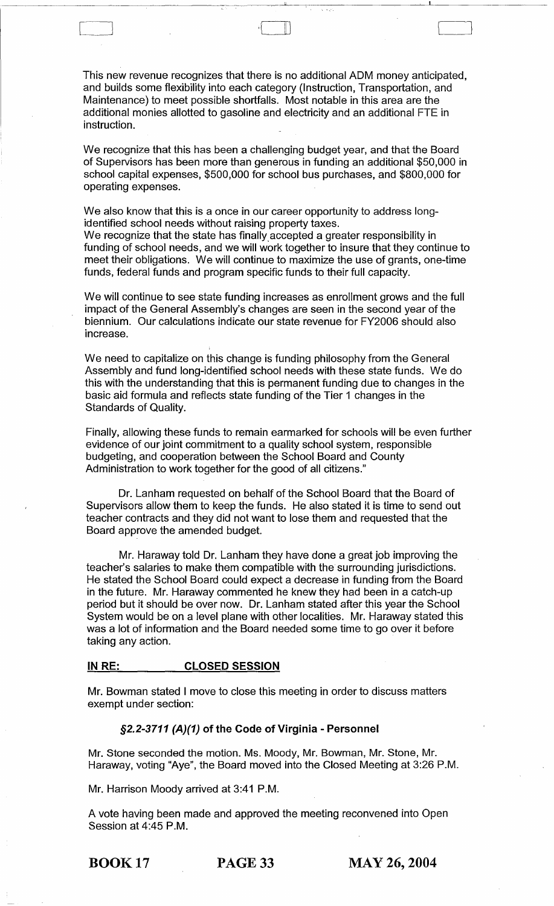This new revenue recognizes that there is no additional ADM money anticipated, and builds some flexibility into each category (Instruction, Transportation, and Maintenance) to meet possible shortfalls. Most notable in this area are the additional monies allotted to gasoline and electricity and an additional FTE in instruction.

[ L---\_J ,{ II l Cl

We recognize that this has been a challenging budget year, and that the Board of Supervisors has been more than generous in funding an additional \$50,000 in school capital expenses, \$500,000 for school bus purchases, and \$800,000 for operating expenses.

We also know that this is a once in our career opportunity to address longidentified school needs without raising property taxes.

We recognize that the state has finally accepted a greater responsibility in funding of school needs, and we will work together to insure that they continue to meet their obligations. We will continue to maximize the use of grants, one-time funds, federal funds and program specific funds to their full capacity.

We will continue to see state funding increases as enrollment grows and the full impact of the General Assembly's changes are seen in the second year of the biennium. Our calculations indicate our state revenue for FY2006 should also increase.

We need to capitalize on this change is funding philosophy from the General Assembly and fund long-identified school needs with these state funds. We do this with the understanding that this is permanent funding due to changes in the basic aid formula and reflects state funding of the Tier 1 changes in the Standards of Quality.

Finally, allowing these funds to remain earmarked for schools will be even further evidence of our joint commitment to a quality school system, responsible budgeting, and cooperation between the School Board and County Administration to work together for the good of all citizens."

Dr. Lanham requested on behalf of the School Board that the Board of Supervisors allow them to keep the funds. He also stated it is time to send out teacher contracts and they did not want to lose them and requested that the Board approve the amended budget.

Mr. Haraway told Dr. Lanham they have done a great job improving the teacher's salaries to make them compatible with the surrounding jurisdictions. He stated the School Board could expect a decrease in funding from the Board in the future. Mr. Haraway commented he knew they had been in a catch-up period but it should be over now. Dr. Lanham stated after this year the School System would be on a level plane with other localities. Mr. Haraway stated this was a lot of information and the Board needed some time to go over it before taking any action.

#### IN RE: CLOSED SESSION

Mr. Bowman stated I move to close this meeting in order to discuss matters exempt under section:

# §2.2-3711 (A)(1) of the Code of Virginia - Personnel

Mr. Stone seconded the motion. Ms. Moody, Mr. Bowman, Mr. Stone, Mr. Haraway, voting "Aye", the Board moved into the Closed Meeting at 3:26 P.M.

Mr. Harrison Moody arrived at 3:41 P.M.

A vote having been made and approved the meeting reconvened into Open Session at 4:45 P.M.

BOOK 17 PAGE 33 MAY 26, 2004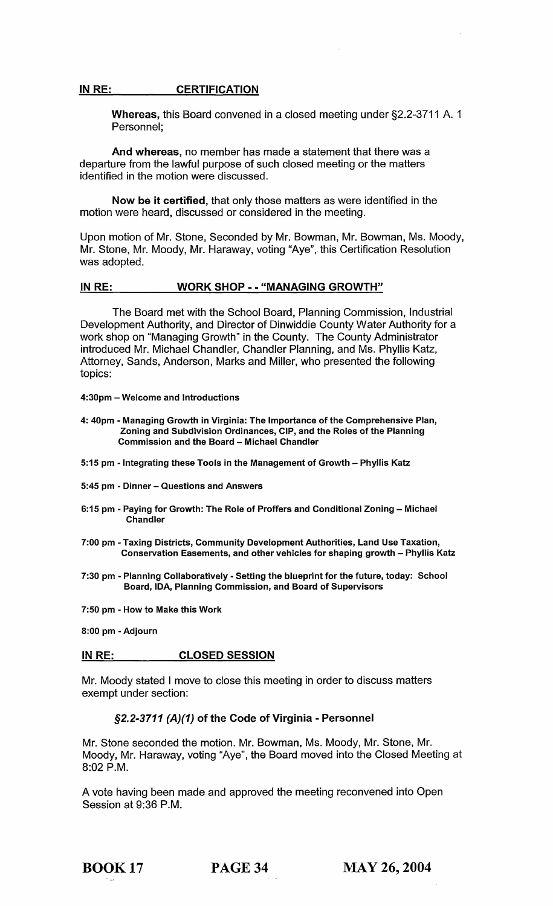#### IN RE: CERTIFICATION

Whereas, this Board convened in a closed meeting under §2.2-3711 A. 1 Personnel;

And whereas, no member has made a statement that there was a departure from the lawful purpose of such closed meeting or the matters identified in the motion were discussed.

Now be it certified, that only those matters as were identified in the motion were heard, discussed or considered in the meeting.

Upon motion of Mr. Stone, Seconded by Mr. Bowman, Mr. Bowman, Ms. Moody, Mr. Stone, Mr. Moody, Mr. Haraway, voting "Aye", this Certification Resolution was adopted.

## IN RE: WORK SHOP - - "MANAGING GROWTH"

The Board met with the School Board, Planning Commission, Industrial Development Authority, and Director of Dinwiddie County Water Authority for a work shop on "Managing Growth" in the County. The County Administrator introduced Mr. Michael Chandler, Chandler Planning, and Ms. Phyllis Katz, Attorney, Sands, Anderson, Marks and Miller, who presented the following topics:

- 4:30pm Welcome and Introductions
- 4: 40pm Managing Growth in Virginia: The Importance of the Comprehensive Plan, Zoning and Subdivision Ordinances, CIP, and the Roles of the Planning Commission and the Board - Michael Chandler
- 5:15 pm Integrating these Tools in the Management of Growth Phyllis Katz
- 5:45 pm Dinner Questions and Answers
- 6:15 pm Paying for Growth: The Role of Proffers and Conditional Zoning Michael **Chandler**
- 7:00 pm Taxing Districts, Community Development Authorities, Land Use Taxation, Conservation Easements, and other vehicles for shaping growth - Phyllis Katz
- 7:30 pm Planning Collaboratively Setting the blueprint for the future, today: School Board, IDA, Planning Commission, and Board of Supervisors
- 7:50 pm How to Make this Work

8:00 pm - Adjourn

# INRE: CLOSED SESSION

Mr. Moody stated I move to close this meeting in order to discuss matters exempt under section:

# §2.2-3711 (A)(1) of the Code of Virginia - Personnel

Mr. Stone seconded the motion. Mr. Bowman, Ms. Moody, Mr. Stone, Mr. Moody, Mr. Haraway, voting "Aye", the Board moved into the Closed Meeting at 8:02 P.M.

A vote having been made and approved the meeting reconvened into Open Session at 9:36 P.M.

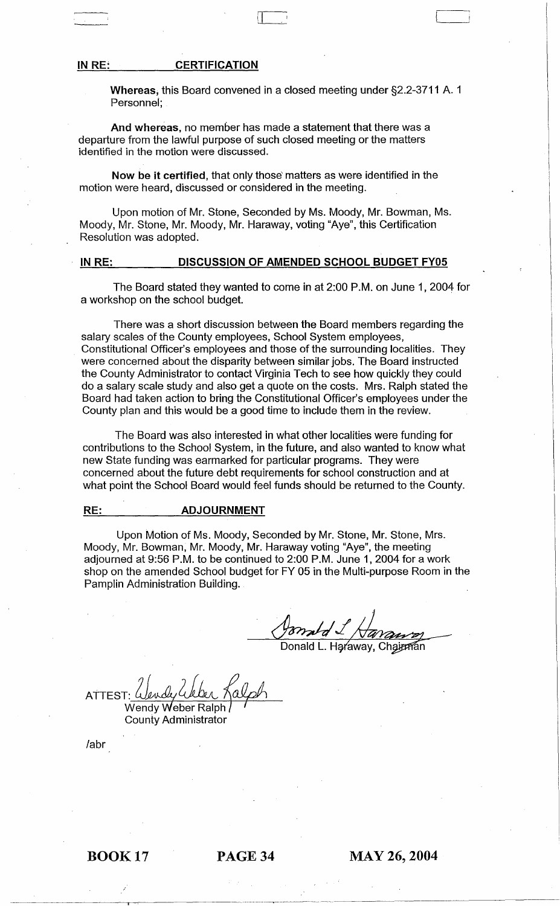#### IN RE: **CERTIFICATION**

Whereas; this Board convened in a closed meeting under §2.2-3711 A. 1 Personnel;

 $\overline{\mathbf{u}}$ 

And whereas, no member has made a statement that there was a departure from the lawful purpose of such closed meeting or the matters identified in the motion were discussed.

Now be it certified, that only those' matters as were identified in the motion Were heard, discussed or considered in the meeting.

Upon motion of Mr. Stone, Seconded by Ms. Moody, Mr. Bowman, Ms. Moody, Mr. Stone, Mr. Moody, Mr. Haraway, voting "Aye", this Certification Resolution was adopted.

#### IN RE: DISCUSSION OF AMENDED SCHOOL BUDGET FY05

The Board stated they wanted to come in at 2:00 P.M. on June 1, 2004 for a workshop on the school budget.

There was a short discussion between the Board members regarding the salary scales of the County employees, School System employees, Constitutional Officer's employees and those of the surrounding localities. They were concerned about the disparity between similar jobs. The Board instructed the County Administrator to contact Virginia Tech to see how quickly they could do a salary scale study and also get a quote on the costs. Mrs. Ralph stated the Board had taken action to bring the Constitutional Officer's employees under the County plan and this would be a good time to include them in the review.

The Board was also interested in what other localities were funding for contributions to the School System, in the future, and also wanted to know what new State funding was earmarked for particular programs. They were concerned about the future debt requirements for school construction and at what point the School Board would feel funds should be returned to the County.

#### RE: ADJOURNMENT

Upon Motion of Ms. Moody, Seconded by Mr. Stone, Mr. Stone, Mrs. Moody, Mr. Bowman, Mr. Moody, Mr. Haraway voting "Aye", the meeting adjourned at 9:56 P.M. to be continued to 2:00 P.M. June 1,2004 for a work shop on the amended School budget for FY 05 in the Multi-purpose Room in the Pamplin Administration Building.

Donald L. Haraway, Chairman

**ATTEST** Wendy Weber Ralph County Administrator

labr

BOOK 17 PAGE 34 MAY 26, 2004

-----.------->---~-~--- ~.-------------------------